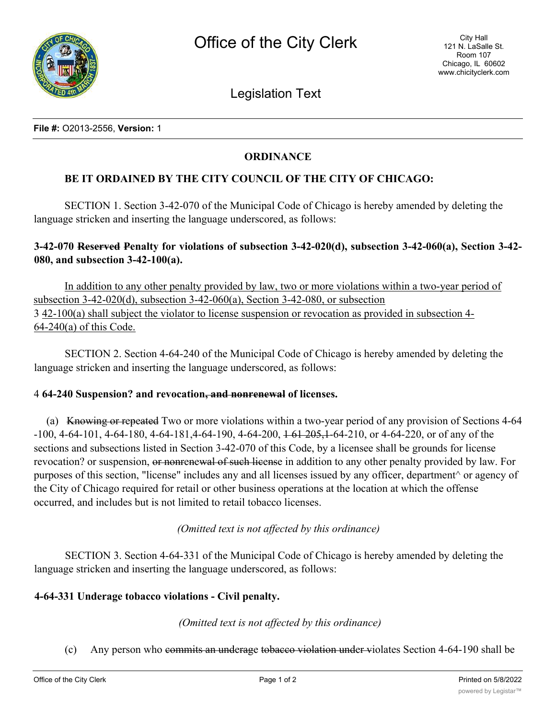

Legislation Text

# **ORDINANCE**

## **BE IT ORDAINED BY THE CITY COUNCIL OF THE CITY OF CHICAGO:**

SECTION 1. Section 3-42-070 of the Municipal Code of Chicago is hereby amended by deleting the language stricken and inserting the language underscored, as follows:

# **3-42-070 Reserved Penalty for violations of subsection 3-42-020(d), subsection 3-42-060(a), Section 3-42- 080, and subsection 3-42-100(a).**

In addition to any other penalty provided by law, two or more violations within a two-year period of subsection 3-42-020(d), subsection 3-42-060(a), Section 3-42-080, or subsection 3 42-100(a) shall subject the violator to license suspension or revocation as provided in subsection 4- 64-240(a) of this Code.

SECTION 2. Section 4-64-240 of the Municipal Code of Chicago is hereby amended by deleting the language stricken and inserting the language underscored, as follows:

#### 4 **64-240 Suspension? and revocation, and nonrenewal of licenses.**

(a) Knowing or repeated Two or more violations within a two-year period of any provision of Sections 4-64 -100, 4-64-101, 4-64-180, 4-64-181,4-64-190, 4-64-200, 1 61 205,1-64-210, or 4-64-220, or of any of the sections and subsections listed in Section 3-42-070 of this Code, by a licensee shall be grounds for license revocation? or suspension, or nonrenewal of such license in addition to any other penalty provided by law. For purposes of this section, "license" includes any and all licenses issued by any officer, department^ or agency of the City of Chicago required for retail or other business operations at the location at which the offense occurred, and includes but is not limited to retail tobacco licenses.

*(Omitted text is not affected by this ordinance)*

SECTION 3. Section 4-64-331 of the Municipal Code of Chicago is hereby amended by deleting the language stricken and inserting the language underscored, as follows:

### **4-64-331 Underage tobacco violations - Civil penalty.**

*(Omitted text is not affected by this ordinance)*

(c) Any person who commits an underage tobacco violation under violates Section 4-64-190 shall be